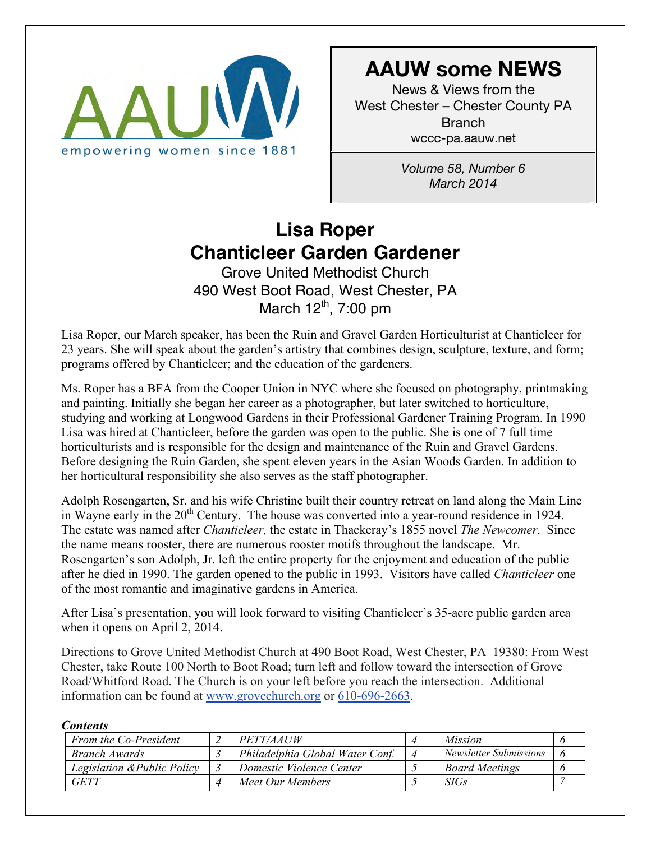

# **AAUW some NEWS**

News & Views from the West Chester – Chester County PA Branch wccc-pa.aauw.net

> *Volume 58, Number 6 March 2014*

# **Lisa Roper Chanticleer Garden Gardener**

Grove United Methodist Church 490 West Boot Road, West Chester, PA March  $12^{th}$ , 7:00 pm

Lisa Roper, our March speaker, has been the Ruin and Gravel Garden Horticulturist at Chanticleer for 23 years. She will speak about the garden's artistry that combines design, sculpture, texture, and form; programs offered by Chanticleer; and the education of the gardeners.

Ms. Roper has a BFA from the Cooper Union in NYC where she focused on photography, printmaking and painting. Initially she began her career as a photographer, but later switched to horticulture, studying and working at Longwood Gardens in their Professional Gardener Training Program. In 1990 Lisa was hired at Chanticleer, before the garden was open to the public. She is one of 7 full time horticulturists and is responsible for the design and maintenance of the Ruin and Gravel Gardens. Before designing the Ruin Garden, she spent eleven years in the Asian Woods Garden. In addition to her horticultural responsibility she also serves as the staff photographer.

Adolph Rosengarten, Sr. and his wife Christine built their country retreat on land along the Main Line in Wayne early in the  $20<sup>th</sup>$  Century. The house was converted into a year-round residence in 1924. The estate was named after *Chanticleer,* the estate in Thackeray's 1855 novel *The Newcomer*. Since the name means rooster, there are numerous rooster motifs throughout the landscape. Mr. Rosengarten's son Adolph, Jr. left the entire property for the enjoyment and education of the public after he died in 1990. The garden opened to the public in 1993. Visitors have called *Chanticleer* one of the most romantic and imaginative gardens in America.

After Lisa's presentation, you will look forward to visiting Chanticleer's 35-acre public garden area when it opens on April 2, 2014.

Directions to Grove United Methodist Church at 490 Boot Road, West Chester, PA 19380: From West Chester, take Route 100 North to Boot Road; turn left and follow toward the intersection of Grove Road/Whitford Road. The Church is on your left before you reach the intersection. Additional information can be found at www.grovechurch.org or 610-696-2663.

| Сониспы                     |  |                                 |  |                        |  |  |
|-----------------------------|--|---------------------------------|--|------------------------|--|--|
| From the Co-President       |  | PETT/AAUW                       |  | <i>Mission</i>         |  |  |
| Branch Awards               |  | Philadelphia Global Water Conf. |  | Newsletter Submissions |  |  |
| Legislation & Public Policy |  | Domestic Violence Center        |  | <b>Board Meetings</b>  |  |  |
| <b>GETT</b>                 |  | Meet Our Members                |  | <i>SIGs</i>            |  |  |

#### *Contents*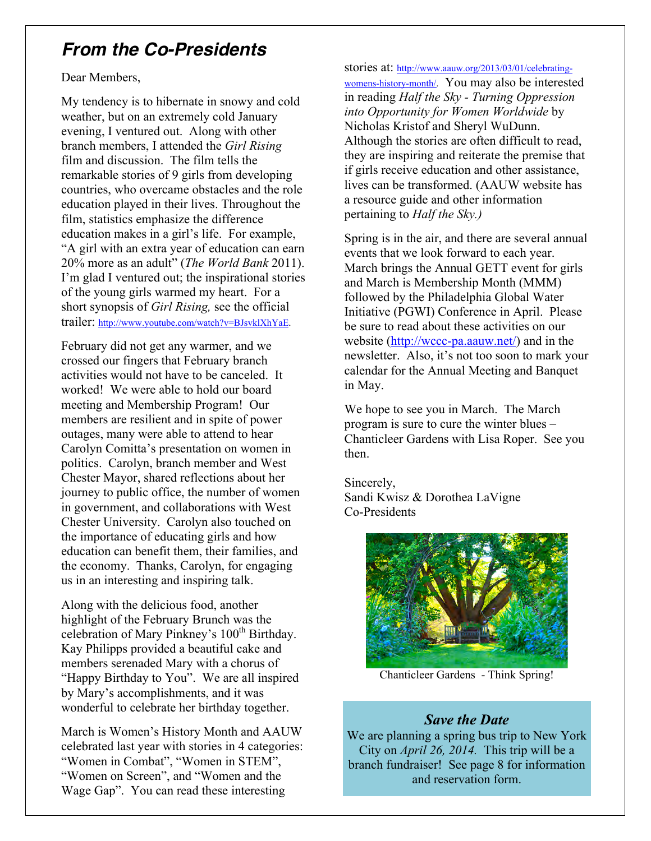# *From the Co-Presidents*

#### Dear Members,

My tendency is to hibernate in snowy and cold weather, but on an extremely cold January evening, I ventured out. Along with other branch members, I attended the *Girl Rising* film and discussion. The film tells the remarkable stories of 9 girls from developing countries, who overcame obstacles and the role education played in their lives. Throughout the film, statistics emphasize the difference education makes in a girl's life. For example, "A girl with an extra year of education can earn 20% more as an adult" (*The World Bank* 2011). I'm glad I ventured out; the inspirational stories of the young girls warmed my heart. For a short synopsis of *Girl Rising,* see the official trailer: http://www.youtube.com/watch?v=BJsvklXhYaE.

February did not get any warmer, and we crossed our fingers that February branch activities would not have to be canceled. It worked! We were able to hold our board meeting and Membership Program! Our members are resilient and in spite of power outages, many were able to attend to hear Carolyn Comitta's presentation on women in politics. Carolyn, branch member and West Chester Mayor, shared reflections about her journey to public office, the number of women in government, and collaborations with West Chester University. Carolyn also touched on the importance of educating girls and how education can benefit them, their families, and the economy. Thanks, Carolyn, for engaging us in an interesting and inspiring talk.

Along with the delicious food, another highlight of the February Brunch was the celebration of Mary Pinkney's 100<sup>th</sup> Birthday. Kay Philipps provided a beautiful cake and members serenaded Mary with a chorus of "Happy Birthday to You". We are all inspired by Mary's accomplishments, and it was wonderful to celebrate her birthday together.

March is Women's History Month and AAUW celebrated last year with stories in 4 categories: "Women in Combat", "Women in STEM", "Women on Screen", and "Women and the Wage Gap". You can read these interesting

stories at: http://www.aauw.org/2013/03/01/celebratingwomens-history-month/. You may also be interested in reading *Half the Sky - Turning Oppression into Opportunity for Women Worldwide* by Nicholas Kristof and Sheryl WuDunn. Although the stories are often difficult to read, they are inspiring and reiterate the premise that if girls receive education and other assistance, lives can be transformed. (AAUW website has a resource guide and other information pertaining to *Half the Sky.)*

Spring is in the air, and there are several annual events that we look forward to each year. March brings the Annual GETT event for girls and March is Membership Month (MMM) followed by the Philadelphia Global Water Initiative (PGWI) Conference in April. Please be sure to read about these activities on our website (http://wccc-pa.aauw.net/) and in the newsletter. Also, it's not too soon to mark your calendar for the Annual Meeting and Banquet in May.

We hope to see you in March. The March program is sure to cure the winter blues – Chanticleer Gardens with Lisa Roper. See you then.

Sincerely, Sandi Kwisz & Dorothea LaVigne Co-Presidents



Chanticleer Gardens - Think Spring!

#### *Save the Date*

We are planning a spring bus trip to New York City on *April 26, 2014.* This trip will be a branch fundraiser! See page 8 for information and reservation form.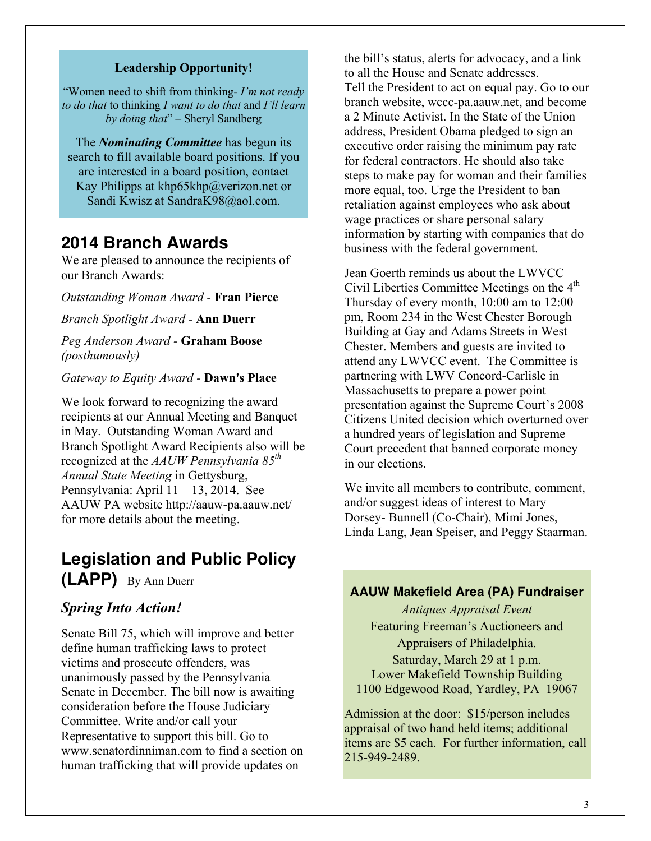#### **Leadership Opportunity!**

"Women need to shift from thinking- *I'm not ready to do that* to thinking *I want to do that* and *I'll learn by doing that*" – Sheryl Sandberg

The *Nominating Committee* has begun its search to fill available board positions. If you are interested in a board position, contact Kay Philipps at khp65khp@verizon.net or Sandi Kwisz at SandraK98@aol.com.

# **2014 Branch Awards**

We are pleased to announce the recipients of our Branch Awards:

*Outstanding Woman Award -* **Fran Pierce**

*Branch Spotlight Award -* **Ann Duerr**

*Peg Anderson Award -* **Graham Boose** *(posthumously)*

*Gateway to Equity Award -* **Dawn's Place**

We look forward to recognizing the award recipients at our Annual Meeting and Banquet in May. Outstanding Woman Award and Branch Spotlight Award Recipients also will be recognized at the *AAUW Pennsylvania 85th Annual State Meeting* in Gettysburg, Pennsylvania: April 11 – 13, 2014. See AAUW PA website http://aauw-pa.aauw.net/ for more details about the meeting.

# **Legislation and Public Policy (LAPP)** By Ann Duerr

# *Spring Into Action!*

# Senate Bill 75, which will improve and better

define human trafficking laws to protect victims and prosecute offenders, was unanimously passed by the Pennsylvania Senate in December. The bill now is awaiting consideration before the House Judiciary Committee. Write and/or call your Representative to support this bill. Go to www.senatordinniman.com to find a section on human trafficking that will provide updates on

the bill's status, alerts for advocacy, and a link to all the House and Senate addresses. Tell the President to act on equal pay. Go to our branch website, wccc-pa.aauw.net, and become a 2 Minute Activist. In the State of the Union address, President Obama pledged to sign an executive order raising the minimum pay rate for federal contractors. He should also take steps to make pay for woman and their families more equal, too. Urge the President to ban retaliation against employees who ask about wage practices or share personal salary information by starting with companies that do business with the federal government.

Jean Goerth reminds us about the LWVCC Civil Liberties Committee Meetings on the 4<sup>th</sup> Thursday of every month, 10:00 am to 12:00 pm, Room 234 in the West Chester Borough Building at Gay and Adams Streets in West Chester. Members and guests are invited to attend any LWVCC event. The Committee is partnering with LWV Concord-Carlisle in Massachusetts to prepare a power point presentation against the Supreme Court's 2008 Citizens United decision which overturned over a hundred years of legislation and Supreme Court precedent that banned corporate money in our elections.

We invite all members to contribute, comment, and/or suggest ideas of interest to Mary Dorsey- Bunnell (Co-Chair), Mimi Jones, Linda Lang, Jean Speiser, and Peggy Staarman.

#### **AAUW Makefield Area (PA) Fundraiser**

*Antiques Appraisal Event* Featuring Freeman's Auctioneers and Appraisers of Philadelphia. Saturday, March 29 at 1 p.m. Lower Makefield Township Building 1100 Edgewood Road, Yardley, PA 19067

Admission at the door: \$15/person includes appraisal of two hand held items; additional items are \$5 each. For further information, call 215-949-2489.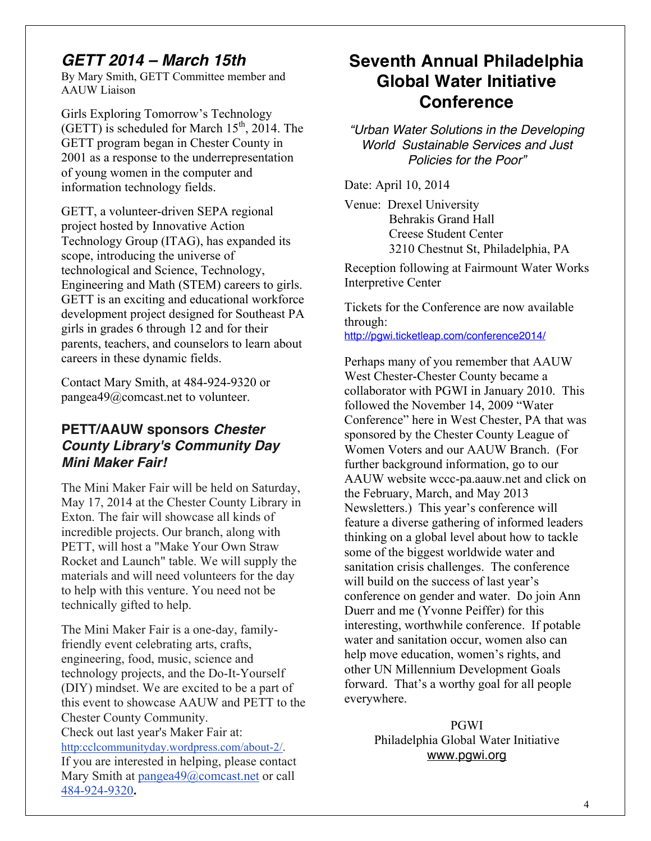# *GETT 2014 – March 15th*

By Mary Smith, GETT Committee member and AAUW Liaison

Girls Exploring Tomorrow's Technology (GETT) is scheduled for March  $15<sup>th</sup>$ , 2014. The GETT program began in Chester County in 2001 as a response to the underrepresentation of young women in the computer and information technology fields.

GETT, a volunteer-driven SEPA regional project hosted by Innovative Action Technology Group (ITAG), has expanded its scope, introducing the universe of technological and Science, Technology, Engineering and Math (STEM) careers to girls. GETT is an exciting and educational workforce development project designed for Southeast PA girls in grades 6 through 12 and for their parents, teachers, and counselors to learn about careers in these dynamic fields.

Contact Mary Smith, at 484-924-9320 or pangea49@comcast.net to volunteer.

## **PETT/AAUW sponsors** *Chester County Library's Community Day Mini Maker Fair!*

The Mini Maker Fair will be held on Saturday, May 17, 2014 at the Chester County Library in Exton. The fair will showcase all kinds of incredible projects. Our branch, along with PETT, will host a "Make Your Own Straw Rocket and Launch" table. We will supply the materials and will need volunteers for the day to help with this venture. You need not be technically gifted to help.

The Mini Maker Fair is a one-day, familyfriendly event celebrating arts, crafts, engineering, food, music, science and technology projects, and the Do-It-Yourself (DIY) mindset. We are excited to be a part of this event to showcase AAUW and PETT to the Chester County Community. Check out last year's Maker Fair at:

http:cclcommunityday.wordpress.com/about-2/. If you are interested in helping, please contact Mary Smith at pangea49@comcast.net or call 484-924-9320**.**

# **Seventh Annual Philadelphia Global Water Initiative Conference**

*"Urban Water Solutions in the Developing World Sustainable Services and Just Policies for the Poor"*

Date: April 10, 2014

Venue: Drexel University Behrakis Grand Hall Creese Student Center 3210 Chestnut St, Philadelphia, PA

Reception following at Fairmount Water Works Interpretive Center

Tickets for the Conference are now available through: http://pgwi.ticketleap.com/conference2014/

Perhaps many of you remember that AAUW West Chester-Chester County became a collaborator with PGWI in January 2010. This followed the November 14, 2009 "Water Conference" here in West Chester, PA that was sponsored by the Chester County League of Women Voters and our AAUW Branch. (For further background information, go to our AAUW website wccc-pa.aauw.net and click on the February, March, and May 2013 Newsletters.) This year's conference will feature a diverse gathering of informed leaders thinking on a global level about how to tackle some of the biggest worldwide water and sanitation crisis challenges. The conference will build on the success of last year's conference on gender and water. Do join Ann Duerr and me (Yvonne Peiffer) for this interesting, worthwhile conference. If potable water and sanitation occur, women also can help move education, women's rights, and other UN Millennium Development Goals forward. That's a worthy goal for all people everywhere.

> PGWI Philadelphia Global Water Initiative www.pgwi.org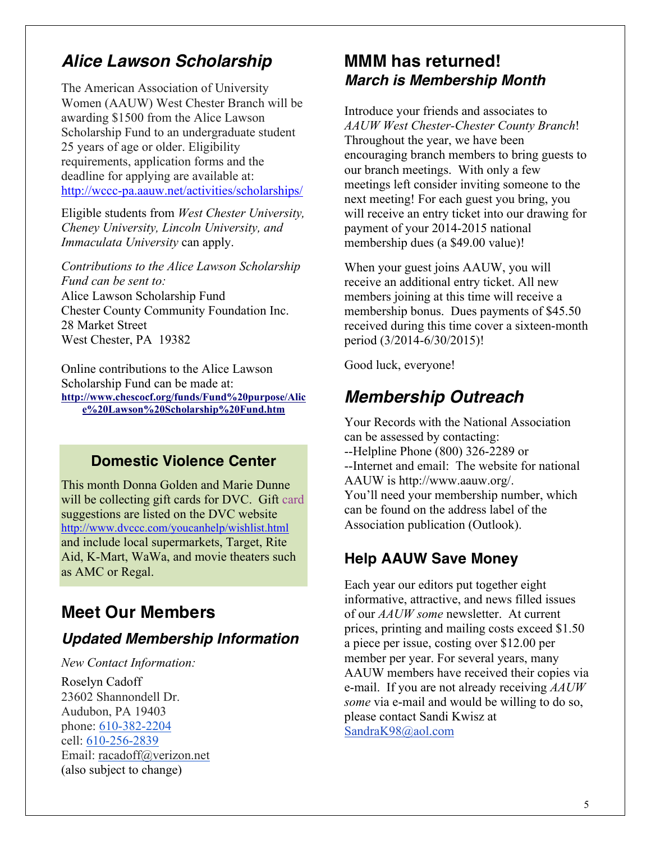# *Alice Lawson Scholarship*

The American Association of University Women (AAUW) West Chester Branch will be awarding \$1500 from the Alice Lawson Scholarship Fund to an undergraduate student 25 years of age or older. Eligibility requirements, application forms and the deadline for applying are available at: http://wccc-pa.aauw.net/activities/scholarships/

Eligible students from *West Chester University, Cheney University, Lincoln University, and Immaculata University* can apply.

*Contributions to the Alice Lawson Scholarship Fund can be sent to:* Alice Lawson Scholarship Fund Chester County Community Foundation Inc. 28 Market Street West Chester, PA 19382

Online contributions to the Alice Lawson Scholarship Fund can be made at: **http://www.chescocf.org/funds/Fund%20purpose/Alic e%20Lawson%20Scholarship%20Fund.htm**

## **Domestic Violence Center**

This month Donna Golden and Marie Dunne will be collecting gift cards for DVC. Gift card suggestions are listed on the DVC website http://www.dvccc.com/youcanhelp/wishlist.html and include local supermarkets, Target, Rite Aid, K-Mart, WaWa, and movie theaters such as AMC or Regal.

# **Meet Our Members**

# *Updated Membership Information*

*New Contact Information:*

Roselyn Cadoff 23602 Shannondell Dr. Audubon, PA 19403 phone: 610-382-2204 cell: 610-256-2839 Email: racadoff@verizon.net (also subject to change)

# **MMM has returned!** *March is Membership Month*

Introduce your friends and associates to *AAUW West Chester-Chester County Branch*! Throughout the year, we have been encouraging branch members to bring guests to our branch meetings. With only a few meetings left consider inviting someone to the next meeting! For each guest you bring, you will receive an entry ticket into our drawing for payment of your 2014-2015 national membership dues (a \$49.00 value)!

When your guest joins AAUW, you will receive an additional entry ticket. All new members joining at this time will receive a membership bonus. Dues payments of \$45.50 received during this time cover a sixteen-month period (3/2014-6/30/2015)!

Good luck, everyone!

# *Membership Outreach*

Your Records with the National Association can be assessed by contacting: --Helpline Phone (800) 326-2289 or --Internet and email: The website for national AAUW is http://www.aauw.org/. You'll need your membership number, which can be found on the address label of the Association publication (Outlook).

# **Help AAUW Save Money**

Each year our editors put together eight informative, attractive, and news filled issues of our *AAUW some* newsletter. At current prices, printing and mailing costs exceed \$1.50 a piece per issue, costing over \$12.00 per member per year. For several years, many AAUW members have received their copies via e-mail. If you are not already receiving *AAUW some* via e-mail and would be willing to do so, please contact Sandi Kwisz at SandraK98@aol.com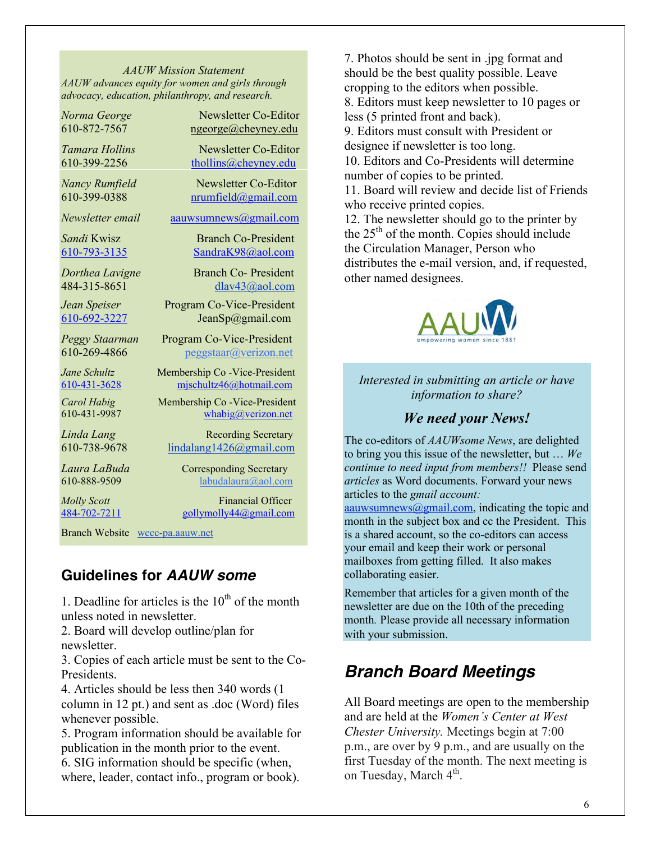*AAUW Mission Statement AAUW advances equity for women and girls through advocacy, education, philanthropy, and research.*

*Norma George* Newsletter Co-Editor 610-872-7567 ngeorge@cheyney.edu

*Tamara Hollins* Newsletter Co-Editor 610-399-2256 thollins@cheyney.edu

*Nancy Rumfield* Newsletter Co-Editor 610-399-0388 nrumfield@gmail.com

*Newsletter email* aauwsumnews@gmail.com

*Sandi* Kwisz **Branch Co-President** 610-793-3135 SandraK98@aol.com

*Dorthea Lavigne* Branch Co- President 484-315-8651 dlav43@aol.com

*Jean Speiser* Program Co-Vice-President 610-692-3227 JeanSp@gmail.com

*Peggy Staarman* Program Co-Vice-President 610-269-4866 peggstaar@verizon.net

*Jane Schultz* Membership Co -Vice-President 610-431-3628 mjschultz46@hotmail.com

*Carol Habig* Membership Co -Vice-President 610-431-9987 whabig@verizon.net

*Linda Lang* Recording Secretary 610-738-9678 lindalang1426@gmail.com

*Laura LaBuda* **Corresponding Secretary** 610-888-9509 labudalaura@aol.com

*Molly Scott* Financial Officer 484-702-7211 gollymolly44@gmail.com

Branch Website wccc-pa.aauw.net

## **Guidelines for** *AAUW some*

1. Deadline for articles is the  $10<sup>th</sup>$  of the month unless noted in newsletter.

2. Board will develop outline/plan for newsletter.

3. Copies of each article must be sent to the Co-Presidents.

4. Articles should be less then 340 words (1 column in 12 pt.) and sent as .doc (Word) files whenever possible.

5. Program information should be available for publication in the month prior to the event. 6. SIG information should be specific (when, where, leader, contact info., program or book).

7. Photos should be sent in .jpg format and should be the best quality possible. Leave cropping to the editors when possible. 8. Editors must keep newsletter to 10 pages or less (5 printed front and back). 9. Editors must consult with President or designee if newsletter is too long. 10. Editors and Co-Presidents will determine number of copies to be printed.

11. Board will review and decide list of Friends who receive printed copies.

12. The newsletter should go to the printer by the  $25<sup>th</sup>$  of the month. Copies should include the Circulation Manager, Person who distributes the e-mail version, and, if requested, other named designees.



#### *Interested in submitting an article or have information to share?*

#### *We need your News!*

The co-editors of *AAUWsome News*, are delighted to bring you this issue of the newsletter, but … *We continue to need input from members!!* Please send *articles* as Word documents. Forward your news articles to the *gmail account:*

aauwsumnews $@g$ gmail.com, indicating the topic and month in the subject box and cc the President. This is a shared account, so the co-editors can access your email and keep their work or personal mailboxes from getting filled. It also makes collaborating easier.

Remember that articles for a given month of the newsletter are due on the 10th of the preceding month*.* Please provide all necessary information with your submission.

# *Branch Board Meetings*

All Board meetings are open to the membership and are held at the *Women's Center at West Chester University.* Meetings begin at 7:00 p.m., are over by 9 p.m., and are usually on the first Tuesday of the month. The next meeting is on Tuesday, March  $4<sup>th</sup>$ .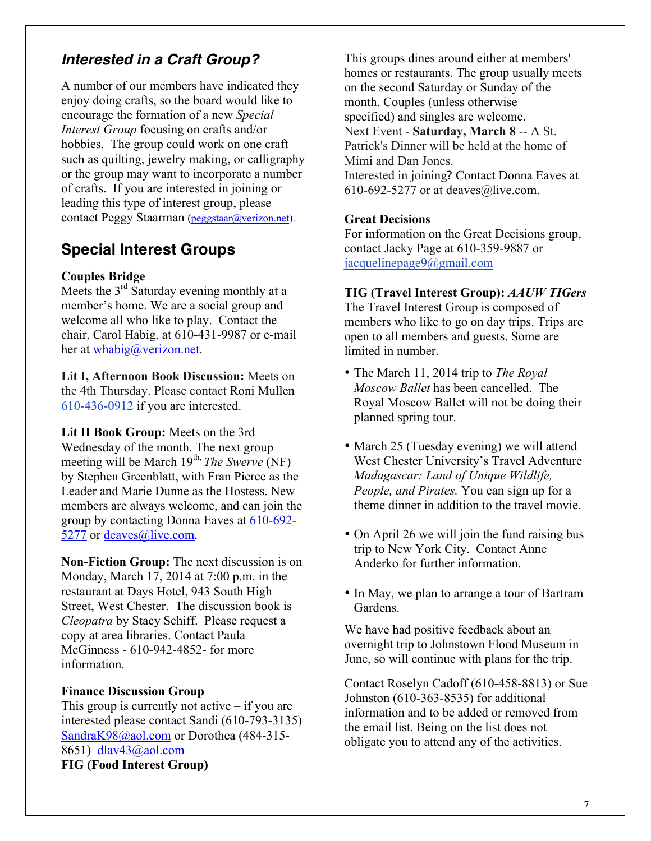# *Interested in a Craft Group?*

A number of our members have indicated they enjoy doing crafts, so the board would like to encourage the formation of a new *Special Interest Group* focusing on crafts and/or hobbies. The group could work on one craft such as quilting, jewelry making, or calligraphy or the group may want to incorporate a number of crafts. If you are interested in joining or leading this type of interest group, please contact Peggy Staarman (peggstaar@verizon.net).

# **Special Interest Groups**

#### **Couples Bridge**

Meets the  $3<sup>rd</sup>$  Saturday evening monthly at a member's home. We are a social group and welcome all who like to play. Contact the chair, Carol Habig, at 610-431-9987 or e-mail her at whabig@verizon.net.

**Lit I, Afternoon Book Discussion:** Meets on the 4th Thursday. Please contact Roni Mullen 610-436-0912 if you are interested.

**Lit II Book Group:** Meets on the 3rd Wednesday of the month. The next group meeting will be March 19<sup>th, *The Swerve* (NF)</sup> by Stephen Greenblatt, with Fran Pierce as the Leader and Marie Dunne as the Hostess. New members are always welcome, and can join the group by contacting Donna Eaves at 610-692- 5277 or deaves@live.com.

**Non-Fiction Group:** The next discussion is on Monday, March 17, 2014 at 7:00 p.m. in the restaurant at Days Hotel, 943 South High Street, West Chester. The discussion book is *Cleopatra* by Stacy Schiff. Please request a copy at area libraries. Contact Paula McGinness - 610-942-4852- for more information.

#### **Finance Discussion Group**

This group is currently not active  $-$  if you are interested please contact Sandi (610-793-3135) SandraK98@aol.com or Dorothea (484-315- 8651) dlav43@aol.com **FIG (Food Interest Group)** 

This groups dines around either at members' homes or restaurants. The group usually meets on the second Saturday or Sunday of the month. Couples (unless otherwise specified) and singles are welcome. Next Event - **Saturday, March 8** -- A St. Patrick's Dinner will be held at the home of Mimi and Dan Jones. Interested in joining? Contact Donna Eaves at 610-692-5277 or at deaves@live.com.

#### **Great Decisions**

For information on the Great Decisions group, contact Jacky Page at 610-359-9887 or jacquelinepage9@gmail.com

#### **TIG (Travel Interest Group):** *AAUW TIGers*

The Travel Interest Group is composed of members who like to go on day trips. Trips are open to all members and guests. Some are limited in number.

- The March 11, 2014 trip to *The Royal Moscow Ballet* has been cancelled. The Royal Moscow Ballet will not be doing their planned spring tour.
- March 25 (Tuesday evening) we will attend West Chester University's Travel Adventure *Madagascar: Land of Unique Wildlife, People, and Pirates.* You can sign up for a theme dinner in addition to the travel movie.
- On April 26 we will join the fund raising bus trip to New York City. Contact Anne Anderko for further information.
- In May, we plan to arrange a tour of Bartram Gardens.

We have had positive feedback about an overnight trip to Johnstown Flood Museum in June, so will continue with plans for the trip.

Contact Roselyn Cadoff (610-458-8813) or Sue Johnston (610-363-8535) for additional information and to be added or removed from the email list. Being on the list does not obligate you to attend any of the activities.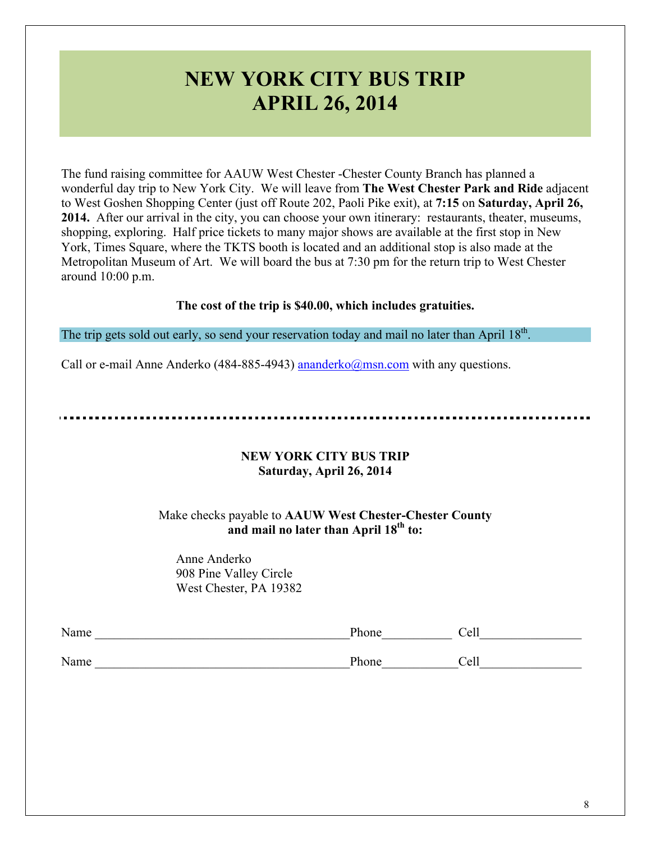# **NEW YORK CITY BUS TRIP APRIL 26, 2014**

The fund raising committee for AAUW West Chester -Chester County Branch has planned a wonderful day trip to New York City. We will leave from **The West Chester Park and Ride** adjacent to West Goshen Shopping Center (just off Route 202, Paoli Pike exit), at **7:15** on **Saturday, April 26, 2014.** After our arrival in the city, you can choose your own itinerary: restaurants, theater, museums, shopping, exploring. Half price tickets to many major shows are available at the first stop in New York, Times Square, where the TKTS booth is located and an additional stop is also made at the Metropolitan Museum of Art. We will board the bus at 7:30 pm for the return trip to West Chester around 10:00 p.m.

#### **The cost of the trip is \$40.00, which includes gratuities.**

The trip gets sold out early, so send your reservation today and mail no later than April  $18<sup>th</sup>$ .

Call or e-mail Anne Anderko (484-885-4943) ananderko@msn.com with any questions.

#### **NEW YORK CITY BUS TRIP Saturday, April 26, 2014**

#### Make checks payable to **AAUW West Chester-Chester County and mail no later than April 18th to:**

Anne Anderko 908 Pine Valley Circle West Chester, PA 19382

| Name | Phone | Cell |  |
|------|-------|------|--|
| Name | Phone | Cell |  |